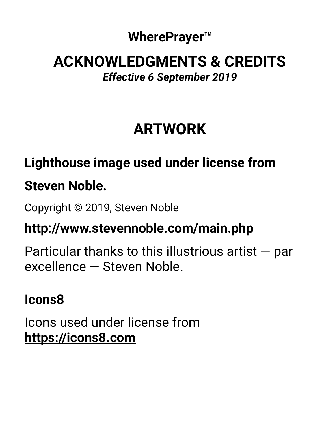#### **WherePrayer™**

#### **ACKNOWLEDGMENTS & CREDITS**  *Effective 6 September 2019*

# **ARTWORK**

# **Lighthouse image used under license from Steven Noble.**

Copyright © 2019, Steven Noble

### **<http://www.stevennoble.com/main.php>**

Particular thanks to this illustrious artist — par excellence — Steven Noble.

#### **Icons8**

Icons used under license from **<https://icons8.com>**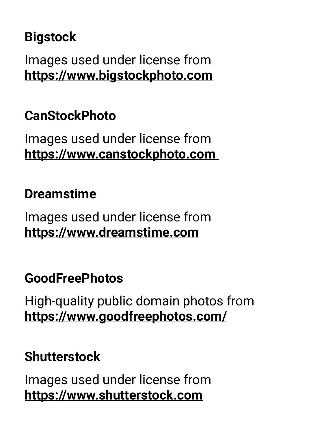## **Bigstock**

Images used under license from **<https://www.bigstockphoto.com>**

#### **CanStockPhoto**

Images used under license from **<https://www.canstockphoto.com>**

#### **Dreamstime**

Images used under license from **<https://www.dreamstime.com>**

#### **GoodFreePhotos**

High-quality public domain photos from **<https://www.goodfreephotos.com/>**

### **Shutterstock**

Images used under license from **<https://www.shutterstock.com>**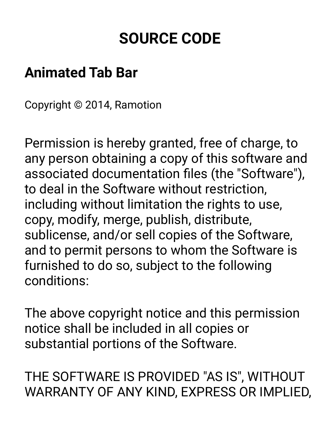# **SOURCE CODE**

## **Animated Tab Bar**

Copyright © 2014, Ramotion

Permission is hereby granted, free of charge, to any person obtaining a copy of this software and associated documentation files (the "Software"), to deal in the Software without restriction, including without limitation the rights to use, copy, modify, merge, publish, distribute, sublicense, and/or sell copies of the Software, and to permit persons to whom the Software is furnished to do so, subject to the following conditions:

The above copyright notice and this permission notice shall be included in all copies or substantial portions of the Software.

THE SOFTWARE IS PROVIDED "AS IS", WITHOUT WARRANTY OF ANY KIND, EXPRESS OR IMPLIED,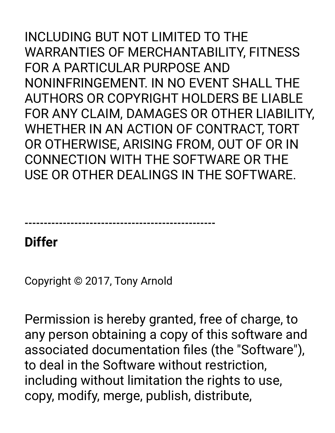INCLUDING BUT NOT LIMITED TO THE WARRANTIES OF MERCHANTABILITY, FITNESS FOR A PARTICULAR PURPOSE AND NONINFRINGEMENT. IN NO EVENT SHALL THE AUTHORS OR COPYRIGHT HOLDERS BE LIABLE FOR ANY CLAIM, DAMAGES OR OTHER LIABILITY, WHETHER IN AN ACTION OF CONTRACT, TORT OR OTHERWISE, ARISING FROM, OUT OF OR IN CONNECTION WITH THE SOFTWARE OR THE USE OR OTHER DEALINGS IN THE SOFTWARE.

**--------------------------------------------------** 

### **Differ**

Copyright © 2017, Tony Arnold

Permission is hereby granted, free of charge, to any person obtaining a copy of this software and associated documentation files (the "Software"), to deal in the Software without restriction, including without limitation the rights to use, copy, modify, merge, publish, distribute,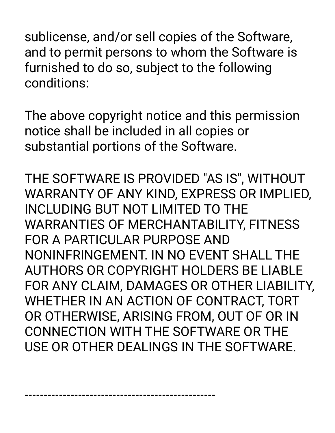sublicense, and/or sell copies of the Software, and to permit persons to whom the Software is furnished to do so, subject to the following conditions:

The above copyright notice and this permission notice shall be included in all copies or substantial portions of the Software.

THE SOFTWARE IS PROVIDED "AS IS", WITHOUT WARRANTY OF ANY KIND, EXPRESS OR IMPLIED, INCLUDING BUT NOT LIMITED TO THE WARRANTIES OF MERCHANTABILITY, FITNESS FOR A PARTICULAR PURPOSE AND NONINFRINGEMENT. IN NO EVENT SHALL THE AUTHORS OR COPYRIGHT HOLDERS BE LIABLE FOR ANY CLAIM, DAMAGES OR OTHER LIABILITY, WHETHER IN AN ACTION OF CONTRACT, TORT OR OTHERWISE, ARISING FROM, OUT OF OR IN CONNECTION WITH THE SOFTWARE OR THE USE OR OTHER DEALINGS IN THE SOFTWARE.

**--------------------------------------------------**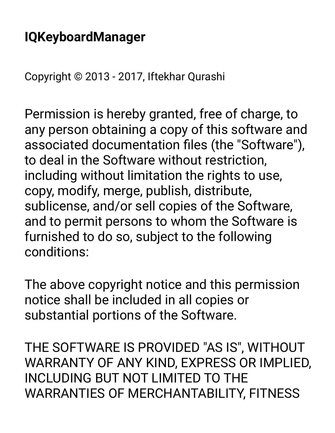## **IQKeyboardManager**

Copyright © 2013 - 2017, Iftekhar Qurashi

Permission is hereby granted, free of charge, to any person obtaining a copy of this software and associated documentation files (the "Software"), to deal in the Software without restriction, including without limitation the rights to use, copy, modify, merge, publish, distribute, sublicense, and/or sell copies of the Software, and to permit persons to whom the Software is furnished to do so, subject to the following conditions:

The above copyright notice and this permission notice shall be included in all copies or substantial portions of the Software.

THE SOFTWARE IS PROVIDED "AS IS", WITHOUT WARRANTY OF ANY KIND, EXPRESS OR IMPLIED, INCLUDING BUT NOT LIMITED TO THE WARRANTIES OF MERCHANTABILITY, FITNESS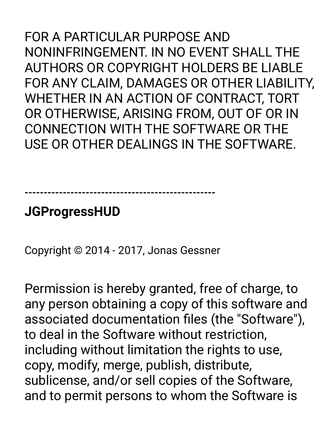FOR A PARTICULAR PURPOSE AND NONINFRINGEMENT. IN NO EVENT SHALL THE AUTHORS OR COPYRIGHT HOLDERS BE LIABLE FOR ANY CLAIM, DAMAGES OR OTHER LIABILITY, WHETHER IN AN ACTION OF CONTRACT, TORT OR OTHERWISE, ARISING FROM, OUT OF OR IN CONNECTION WITH THE SOFTWARE OR THE USE OR OTHER DEALINGS IN THE SOFTWARE.

## **JGProgressHUD**

Copyright © 2014 - 2017, Jonas Gessner

**--------------------------------------------------** 

Permission is hereby granted, free of charge, to any person obtaining a copy of this software and associated documentation files (the "Software"), to deal in the Software without restriction, including without limitation the rights to use, copy, modify, merge, publish, distribute, sublicense, and/or sell copies of the Software, and to permit persons to whom the Software is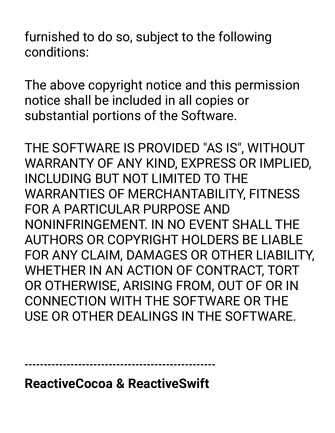furnished to do so, subject to the following conditions:

The above copyright notice and this permission notice shall be included in all copies or substantial portions of the Software.

THE SOFTWARE IS PROVIDED "AS IS", WITHOUT WARRANTY OF ANY KIND, EXPRESS OR IMPLIED, INCLUDING BUT NOT LIMITED TO THE WARRANTIES OF MERCHANTABILITY, FITNESS FOR A PARTICULAR PURPOSE AND NONINFRINGEMENT. IN NO EVENT SHALL THE AUTHORS OR COPYRIGHT HOLDERS BE LIABLE FOR ANY CLAIM, DAMAGES OR OTHER LIABILITY, WHETHER IN AN ACTION OF CONTRACT, TORT OR OTHERWISE, ARISING FROM, OUT OF OR IN CONNECTION WITH THE SOFTWARE OR THE USE OR OTHER DEALINGS IN THE SOFTWARE.

**--------------------------------------------------** 

**ReactiveCocoa & ReactiveSwift**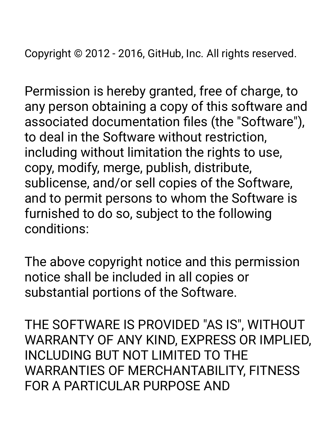Copyright © 2012 - 2016, GitHub, Inc. All rights reserved.

Permission is hereby granted, free of charge, to any person obtaining a copy of this software and associated documentation files (the "Software"), to deal in the Software without restriction, including without limitation the rights to use, copy, modify, merge, publish, distribute, sublicense, and/or sell copies of the Software, and to permit persons to whom the Software is furnished to do so, subject to the following conditions:

The above copyright notice and this permission notice shall be included in all copies or substantial portions of the Software.

THE SOFTWARE IS PROVIDED "AS IS", WITHOUT WARRANTY OF ANY KIND, EXPRESS OR IMPLIED, INCLUDING BUT NOT LIMITED TO THE WARRANTIES OF MERCHANTABILITY, FITNESS FOR A PARTICULAR PURPOSE AND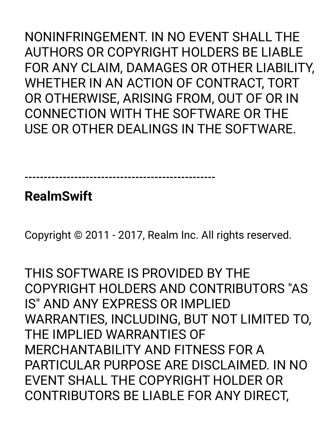NONINFRINGEMENT. IN NO EVENT SHALL THE AUTHORS OR COPYRIGHT HOLDERS BE LIABLE FOR ANY CLAIM, DAMAGES OR OTHER LIABILITY, WHETHER IN AN ACTION OF CONTRACT, TORT OR OTHERWISE, ARISING FROM, OUT OF OR IN CONNECTION WITH THE SOFTWARE OR THE USE OR OTHER DEALINGS IN THE SOFTWARE.

**--------------------------------------------------** 

**RealmSwift** 

Copyright © 2011 - 2017, Realm Inc. All rights reserved.

THIS SOFTWARE IS PROVIDED BY THE COPYRIGHT HOLDERS AND CONTRIBUTORS "AS IS" AND ANY EXPRESS OR IMPLIED WARRANTIES, INCLUDING, BUT NOT LIMITED TO, THE IMPLIED WARRANTIES OF MERCHANTABILITY AND FITNESS FOR A PARTICULAR PURPOSE ARE DISCLAIMED. IN NO EVENT SHALL THE COPYRIGHT HOLDER OR CONTRIBUTORS BE LIABLE FOR ANY DIRECT,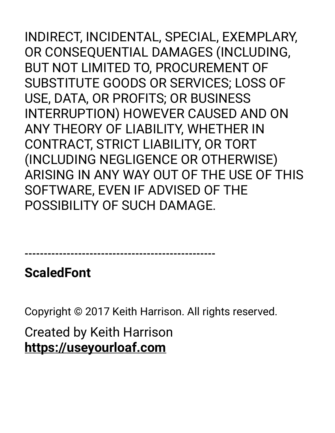INDIRECT, INCIDENTAL, SPECIAL, EXEMPLARY, OR CONSEQUENTIAL DAMAGES (INCLUDING, BUT NOT LIMITED TO, PROCUREMENT OF SUBSTITUTE GOODS OR SERVICES; LOSS OF USE, DATA, OR PROFITS; OR BUSINESS INTERRUPTION) HOWEVER CAUSED AND ON ANY THEORY OF LIABILITY, WHETHER IN CONTRACT, STRICT LIABILITY, OR TORT (INCLUDING NEGLIGENCE OR OTHERWISE) ARISING IN ANY WAY OUT OF THE USE OF THIS SOFTWARE, EVEN IF ADVISED OF THE POSSIBILITY OF SUCH DAMAGE.

**--------------------------------------------------** 

**ScaledFont** 

Copyright © 2017 Keith Harrison. All rights reserved.

Created by Keith Harrison **<https://useyourloaf.com>**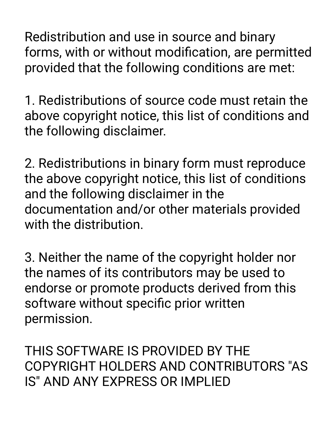Redistribution and use in source and binary forms, with or without modification, are permitted provided that the following conditions are met:

1. Redistributions of source code must retain the above copyright notice, this list of conditions and the following disclaimer.

2. Redistributions in binary form must reproduce the above copyright notice, this list of conditions and the following disclaimer in the documentation and/or other materials provided with the distribution.

3. Neither the name of the copyright holder nor the names of its contributors may be used to endorse or promote products derived from this software without specific prior written permission.

THIS SOFTWARE IS PROVIDED BY THE COPYRIGHT HOLDERS AND CONTRIBUTORS "AS IS" AND ANY EXPRESS OR IMPLIED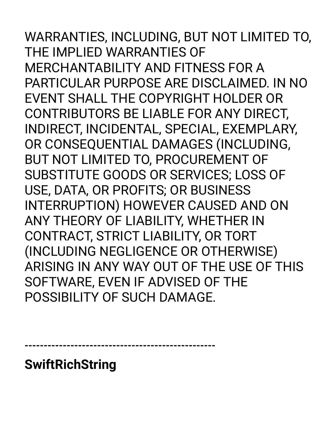WARRANTIES, INCLUDING, BUT NOT LIMITED TO, THE IMPLIED WARRANTIES OF MERCHANTABILITY AND FITNESS FOR A PARTICULAR PURPOSE ARE DISCLAIMED. IN NO EVENT SHALL THE COPYRIGHT HOLDER OR CONTRIBUTORS BE LIABLE FOR ANY DIRECT, INDIRECT, INCIDENTAL, SPECIAL, EXEMPLARY, OR CONSEQUENTIAL DAMAGES (INCLUDING, BUT NOT LIMITED TO, PROCUREMENT OF SUBSTITUTE GOODS OR SERVICES; LOSS OF USE, DATA, OR PROFITS; OR BUSINESS INTERRUPTION) HOWEVER CAUSED AND ON ANY THEORY OF LIABILITY, WHETHER IN CONTRACT, STRICT LIABILITY, OR TORT (INCLUDING NEGLIGENCE OR OTHERWISE) ARISING IN ANY WAY OUT OF THE USE OF THIS SOFTWARE, EVEN IF ADVISED OF THE POSSIBILITY OF SUCH DAMAGE.

**--------------------------------------------------** 

**SwiftRichString**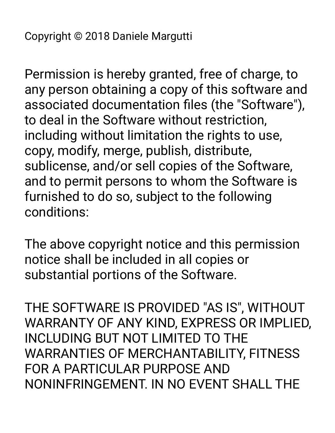Permission is hereby granted, free of charge, to any person obtaining a copy of this software and associated documentation files (the "Software"), to deal in the Software without restriction, including without limitation the rights to use, copy, modify, merge, publish, distribute, sublicense, and/or sell copies of the Software, and to permit persons to whom the Software is furnished to do so, subject to the following conditions:

The above copyright notice and this permission notice shall be included in all copies or substantial portions of the Software.

THE SOFTWARE IS PROVIDED "AS IS", WITHOUT WARRANTY OF ANY KIND, EXPRESS OR IMPLIED, INCLUDING BUT NOT LIMITED TO THE WARRANTIES OF MERCHANTABILITY, FITNESS FOR A PARTICULAR PURPOSE AND NONINFRINGEMENT. IN NO EVENT SHALL THE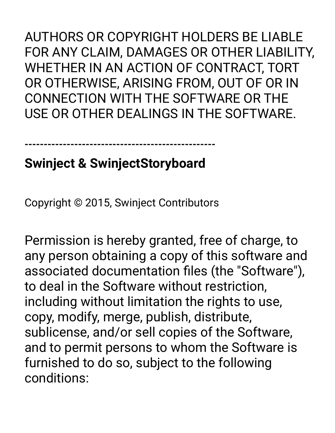AUTHORS OR COPYRIGHT HOLDERS BE LIABLE FOR ANY CLAIM, DAMAGES OR OTHER LIABILITY, WHETHER IN AN ACTION OF CONTRACT, TORT OR OTHERWISE, ARISING FROM, OUT OF OR IN CONNECTION WITH THE SOFTWARE OR THE USE OR OTHER DEALINGS IN THE SOFTWARE.

## **Swinject & SwinjectStoryboard**

**--------------------------------------------------** 

Copyright © 2015, Swinject Contributors

Permission is hereby granted, free of charge, to any person obtaining a copy of this software and associated documentation files (the "Software"), to deal in the Software without restriction, including without limitation the rights to use, copy, modify, merge, publish, distribute, sublicense, and/or sell copies of the Software, and to permit persons to whom the Software is furnished to do so, subject to the following conditions: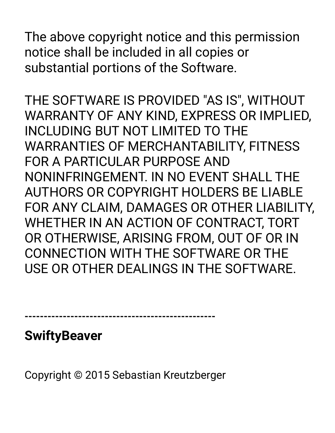The above copyright notice and this permission notice shall be included in all copies or substantial portions of the Software.

THE SOFTWARE IS PROVIDED "AS IS", WITHOUT WARRANTY OF ANY KIND, EXPRESS OR IMPLIED, INCLUDING BUT NOT LIMITED TO THE WARRANTIES OF MERCHANTABILITY, FITNESS FOR A PARTICULAR PURPOSE AND NONINFRINGEMENT. IN NO EVENT SHALL THE AUTHORS OR COPYRIGHT HOLDERS BE LIABLE FOR ANY CLAIM, DAMAGES OR OTHER LIABILITY, WHETHER IN AN ACTION OF CONTRACT, TORT OR OTHERWISE, ARISING FROM, OUT OF OR IN CONNECTION WITH THE SOFTWARE OR THE USE OR OTHER DEALINGS IN THE SOFTWARE.

**--------------------------------------------------** 

**SwiftyBeaver** 

Copyright © 2015 Sebastian Kreutzberger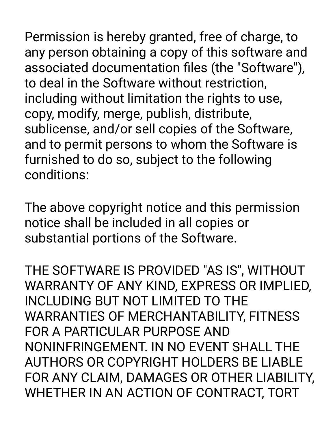Permission is hereby granted, free of charge, to any person obtaining a copy of this software and associated documentation files (the "Software"), to deal in the Software without restriction, including without limitation the rights to use, copy, modify, merge, publish, distribute, sublicense, and/or sell copies of the Software, and to permit persons to whom the Software is furnished to do so, subject to the following conditions:

The above copyright notice and this permission notice shall be included in all copies or substantial portions of the Software.

THE SOFTWARE IS PROVIDED "AS IS", WITHOUT WARRANTY OF ANY KIND, EXPRESS OR IMPLIED, INCLUDING BUT NOT LIMITED TO THE WARRANTIES OF MERCHANTABILITY, FITNESS FOR A PARTICULAR PURPOSE AND NONINFRINGEMENT. IN NO EVENT SHALL THE AUTHORS OR COPYRIGHT HOLDERS BE LIABLE FOR ANY CLAIM, DAMAGES OR OTHER LIABILITY, WHETHER IN AN ACTION OF CONTRACT, TORT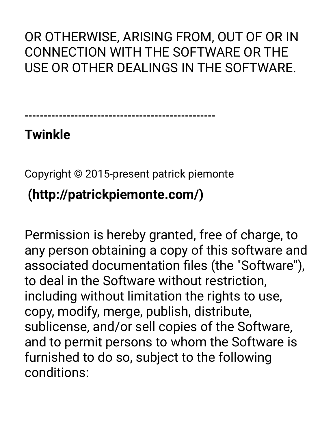OR OTHERWISE, ARISING FROM, OUT OF OR IN CONNECTION WITH THE SOFTWARE OR THE USE OR OTHER DEALINGS IN THE SOFTWARE.

**--------------------------------------------------** 

## **Twinkle**

Copyright © 2015-present patrick piemonte

## **(http://patrickpiemonte.com/)**

Permission is hereby granted, free of charge, to any person obtaining a copy of this software and associated documentation files (the "Software"), to deal in the Software without restriction, including without limitation the rights to use, copy, modify, merge, publish, distribute, sublicense, and/or sell copies of the Software, and to permit persons to whom the Software is furnished to do so, subject to the following conditions: